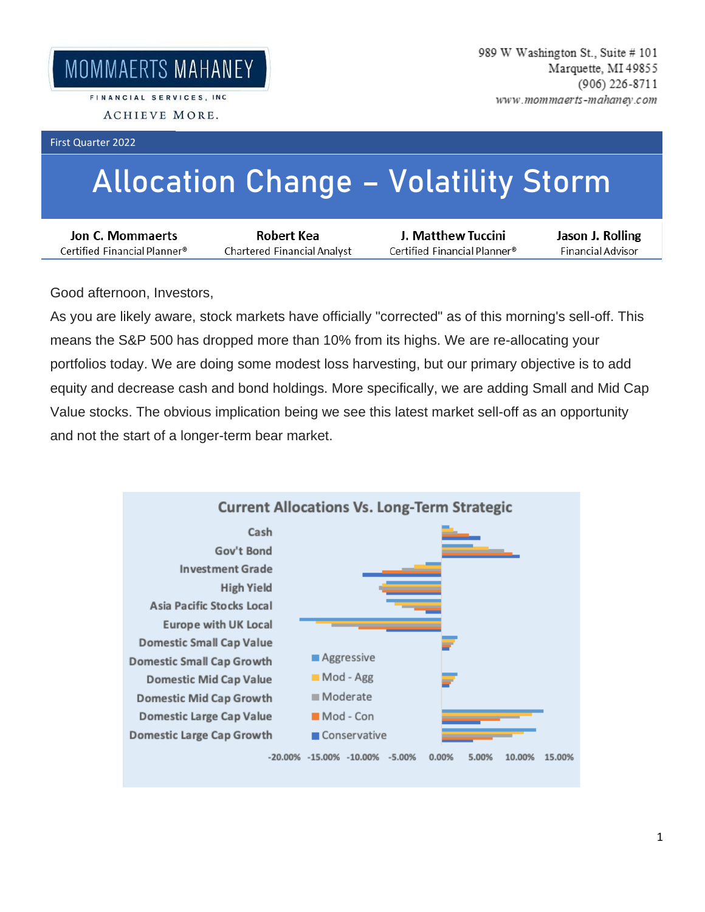FINANCIAL SERVICES, INC. ACHIEVE MORE.

First Quarter 2022

## **Allocation Change – Volatility Storm**

| Jon C. Mommaerts             | Robert Kea                  | J. Matthew Tuccini           | Jason J. Rolling  |
|------------------------------|-----------------------------|------------------------------|-------------------|
| Certified Financial Planner® | Chartered Financial Analyst | Certified Financial Planner® | Financial Advisor |

Good afternoon, Investors,

As you are likely aware, stock markets have officially "corrected" as of this morning's sell-off. This means the S&P 500 has dropped more than 10% from its highs. We are re-allocating your portfolios today. We are doing some modest loss harvesting, but our primary objective is to add equity and decrease cash and bond holdings. More specifically, we are adding Small and Mid Cap Value stocks. The obvious implication being we see this latest market sell-off as an opportunity and not the start of a longer-term bear market.

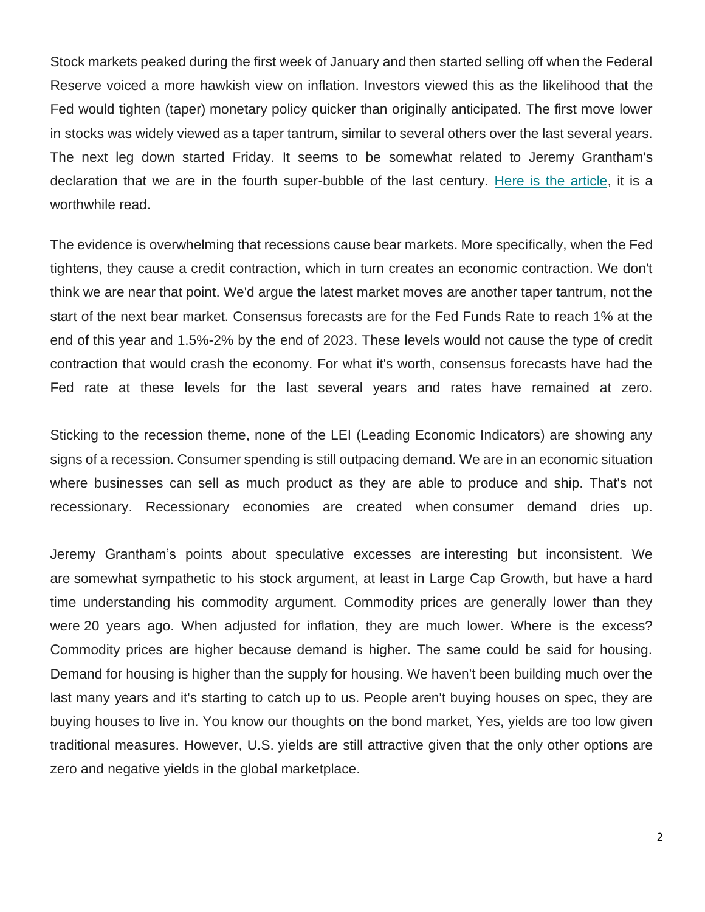Stock markets peaked during the first week of January and then started selling off when the Federal Reserve voiced a more hawkish view on inflation. Investors viewed this as the likelihood that the Fed would tighten (taper) monetary policy quicker than originally anticipated. The first move lower in stocks was widely viewed as a taper tantrum, similar to several others over the last several years. The next leg down started Friday. It seems to be somewhat related to Jeremy Grantham's declaration that we are in the fourth super-bubble of the last century. [Here is the article,](https://url.emailprotection.link/?b67A7wmfgBzow8lK5uJlpiZEf2XRsNrcLSyPkAdRQAhfMerqY8HkwjEsikq3Gc3IaGYIGiqxCgexqXUG7tJRvzWZAuyoyuiA4HIEhal95iXR-HnrUfugIpmU7vDVI3bpEKJdAJ_Rgt4eFQBVs_JjTVysZXudsRkMPgQ5mrtQIDLy9xTlNI89E4FUvTmIisOtbREFWl643Nc9HySxHc3QYvw~~) it is a worthwhile read.

The evidence is overwhelming that recessions cause bear markets. More specifically, when the Fed tightens, they cause a credit contraction, which in turn creates an economic contraction. We don't think we are near that point. We'd argue the latest market moves are another taper tantrum, not the start of the next bear market. Consensus forecasts are for the Fed Funds Rate to reach 1% at the end of this year and 1.5%-2% by the end of 2023. These levels would not cause the type of credit contraction that would crash the economy. For what it's worth, consensus forecasts have had the Fed rate at these levels for the last several years and rates have remained at zero.

Sticking to the recession theme, none of the LEI (Leading Economic Indicators) are showing any signs of a recession. Consumer spending is still outpacing demand. We are in an economic situation where businesses can sell as much product as they are able to produce and ship. That's not recessionary. Recessionary economies are created when consumer demand dries up.

Jeremy Grantham's points about speculative excesses are interesting but inconsistent. We are somewhat sympathetic to his stock argument, at least in Large Cap Growth, but have a hard time understanding his commodity argument. Commodity prices are generally lower than they were 20 years ago. When adjusted for inflation, they are much lower. Where is the excess? Commodity prices are higher because demand is higher. The same could be said for housing. Demand for housing is higher than the supply for housing. We haven't been building much over the last many years and it's starting to catch up to us. People aren't buying houses on spec, they are buying houses to live in. You know our thoughts on the bond market, Yes, yields are too low given traditional measures. However, U.S. yields are still attractive given that the only other options are zero and negative yields in the global marketplace.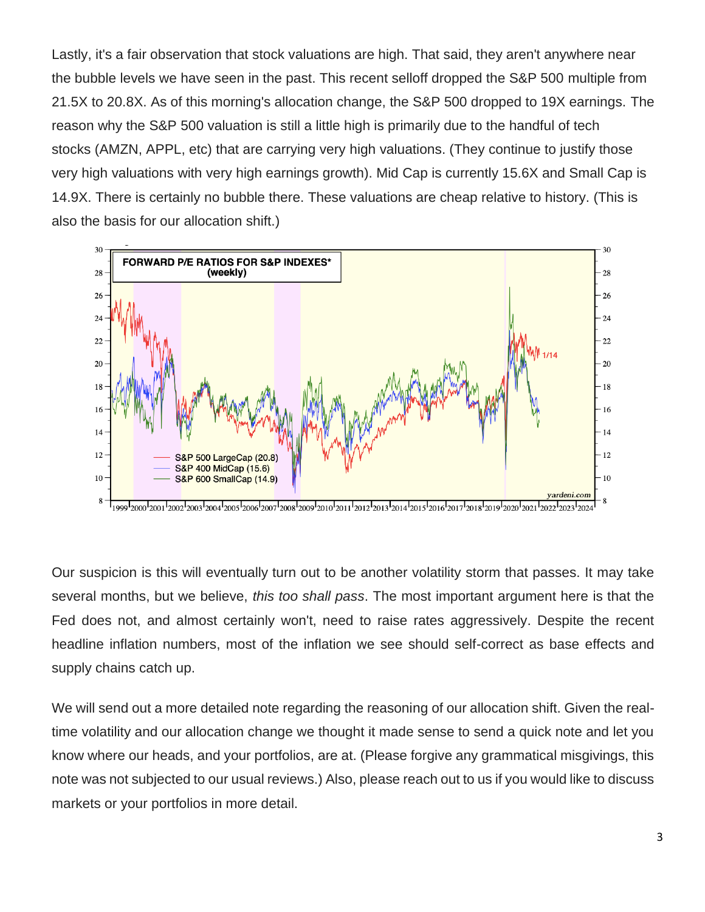Lastly, it's a fair observation that stock valuations are high. That said, they aren't anywhere near the bubble levels we have seen in the past. This recent selloff dropped the S&P 500 multiple from 21.5X to 20.8X. As of this morning's allocation change, the S&P 500 dropped to 19X earnings. The reason why the S&P 500 valuation is still a little high is primarily due to the handful of tech stocks (AMZN, APPL, etc) that are carrying very high valuations. (They continue to justify those very high valuations with very high earnings growth). Mid Cap is currently 15.6X and Small Cap is 14.9X. There is certainly no bubble there. These valuations are cheap relative to history. (This is also the basis for our allocation shift.)



Our suspicion is this will eventually turn out to be another volatility storm that passes. It may take several months, but we believe, *this too shall pass*. The most important argument here is that the Fed does not, and almost certainly won't, need to raise rates aggressively. Despite the recent headline inflation numbers, most of the inflation we see should self-correct as base effects and supply chains catch up.

We will send out a more detailed note regarding the reasoning of our allocation shift. Given the realtime volatility and our allocation change we thought it made sense to send a quick note and let you know where our heads, and your portfolios, are at. (Please forgive any grammatical misgivings, this note was not subjected to our usual reviews.) Also, please reach out to us if you would like to discuss markets or your portfolios in more detail.